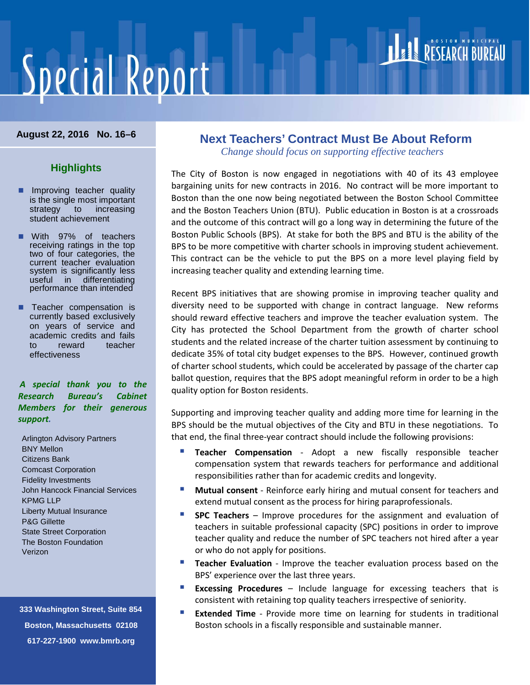# **Special Report**

## RESEARCH BUREAU

#### **August 22, 2016 No. 16–6**

#### **Highlights**

- **Improving teacher quality** is the single most important strategy to increasing student achievement
- With 97% of teachers receiving ratings in the top two of four categories, the current teacher evaluation system is significantly less useful in differentiating performance than intended
- **Teacher compensation is** currently based exclusively on years of service and academic credits and fails to reward teacher effectiveness

#### *A special thank you to the Research Bureau's Cabinet Members for their generous support.*

Arlington Advisory Partners BNY Mellon Citizens Bank Comcast Corporation Fidelity Investments John Hancock Financial Services KPMG LLP Liberty Mutual Insurance P&G Gillette State Street Corporation The Boston Foundation Verizon

 **333 Washington Street, Suite 854 Boston, Massachusetts 02108 617-227-1900 www.bmrb.org**

### **Next Teachers' Contract Must Be About Reform**

*Change should focus on supporting effective teachers*

The City of Boston is now engaged in negotiations with 40 of its 43 employee bargaining units for new contracts in 2016. No contract will be more important to Boston than the one now being negotiated between the Boston School Committee and the Boston Teachers Union (BTU). Public education in Boston is at a crossroads and the outcome of this contract will go a long way in determining the future of the Boston Public Schools (BPS). At stake for both the BPS and BTU is the ability of the BPS to be more competitive with charter schools in improving student achievement. This contract can be the vehicle to put the BPS on a more level playing field by increasing teacher quality and extending learning time.

Recent BPS initiatives that are showing promise in improving teacher quality and diversity need to be supported with change in contract language. New reforms should reward effective teachers and improve the teacher evaluation system. The City has protected the School Department from the growth of charter school students and the related increase of the charter tuition assessment by continuing to dedicate 35% of total city budget expenses to the BPS. However, continued growth of charter school students, which could be accelerated by passage of the charter cap ballot question, requires that the BPS adopt meaningful reform in order to be a high quality option for Boston residents.

Supporting and improving teacher quality and adding more time for learning in the BPS should be the mutual objectives of the City and BTU in these negotiations. To that end, the final three-year contract should include the following provisions:

- **Teacher Compensation** Adopt a new fiscally responsible teacher compensation system that rewards teachers for performance and additional responsibilities rather than for academic credits and longevity.
- **Mutual consent** Reinforce early hiring and mutual consent for teachers and extend mutual consent as the process for hiring paraprofessionals.
- **SPC Teachers** Improve procedures for the assignment and evaluation of teachers in suitable professional capacity (SPC) positions in order to improve teacher quality and reduce the number of SPC teachers not hired after a year or who do not apply for positions.
- **Teacher Evaluation** Improve the teacher evaluation process based on the BPS' experience over the last three years.
- **Excessing Procedures** Include language for excessing teachers that is consistent with retaining top quality teachers irrespective of seniority.
- **Extended Time** Provide more time on learning for students in traditional Boston schools in a fiscally responsible and sustainable manner.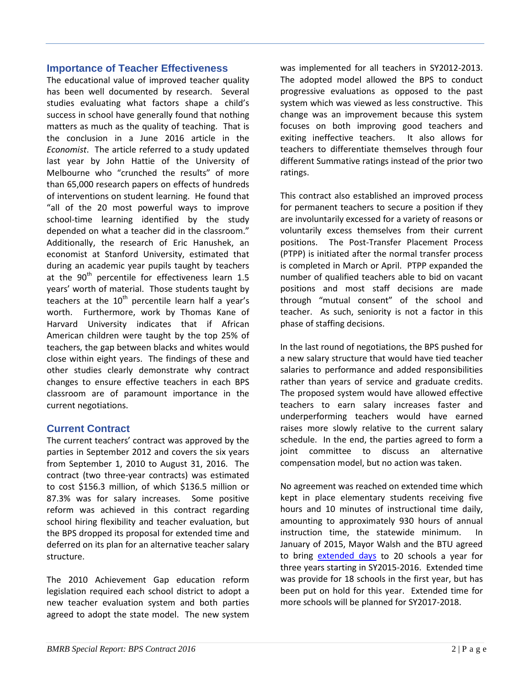#### **Importance of Teacher Effectiveness**

The educational value of improved teacher quality has been well documented by research. Several studies evaluating what factors shape a child's success in school have generally found that nothing matters as much as the quality of teaching. That is the conclusion in a June 2016 article in the *Economist*. The article referred to a study updated last year by John Hattie of the University of Melbourne who "crunched the results" of more than 65,000 research papers on effects of hundreds of interventions on student learning. He found that "all of the 20 most powerful ways to improve school-time learning identified by the study depended on what a teacher did in the classroom." Additionally, the research of Eric Hanushek, an economist at Stanford University, estimated that during an academic year pupils taught by teachers at the  $90<sup>th</sup>$  percentile for effectiveness learn 1.5 years' worth of material. Those students taught by teachers at the  $10<sup>th</sup>$  percentile learn half a year's worth. Furthermore, work by Thomas Kane of Harvard University indicates that if African American children were taught by the top 25% of teachers, the gap between blacks and whites would close within eight years. The findings of these and other studies clearly demonstrate why contract changes to ensure effective teachers in each BPS classroom are of paramount importance in the current negotiations.

#### **Current Contract**

The current teachers' contract was approved by the parties in September 2012 and covers the six years from September 1, 2010 to August 31, 2016. The contract (two three-year contracts) was estimated to cost \$156.3 million, of which \$136.5 million or 87.3% was for salary increases. Some positive reform was achieved in this contract regarding school hiring flexibility and teacher evaluation, but the BPS dropped its proposal for extended time and deferred on its plan for an alternative teacher salary structure.

The 2010 Achievement Gap education reform legislation required each school district to adopt a new teacher evaluation system and both parties agreed to adopt the state model. The new system

was implemented for all teachers in SY2012-2013. The adopted model allowed the BPS to conduct progressive evaluations as opposed to the past system which was viewed as less constructive. This change was an improvement because this system focuses on both improving good teachers and exiting ineffective teachers. It also allows for teachers to differentiate themselves through four different Summative ratings instead of the prior two ratings.

This contract also established an improved process for permanent teachers to secure a position if they are involuntarily excessed for a variety of reasons or voluntarily excess themselves from their current positions. The Post-Transfer Placement Process (PTPP) is initiated after the normal transfer process is completed in March or April. PTPP expanded the number of qualified teachers able to bid on vacant positions and most staff decisions are made through "mutual consent" of the school and teacher. As such, seniority is not a factor in this phase of staffing decisions.

In the last round of negotiations, the BPS pushed for a new salary structure that would have tied teacher salaries to performance and added responsibilities rather than years of service and graduate credits. The proposed system would have allowed effective teachers to earn salary increases faster and underperforming teachers would have earned raises more slowly relative to the current salary schedule. In the end, the parties agreed to form a joint committee to discuss an alternative compensation model, but no action was taken.

No agreement was reached on extended time which kept in place elementary students receiving five hours and 10 minutes of instructional time daily, amounting to approximately 930 hours of annual instruction time, the statewide minimum. January of 2015, Mayor Walsh and the BTU agreed to bring [extended days](http://bmrb.org/wp-content/uploads/2015/01/BUelt115.pdf) to 20 schools a year for three years starting in SY2015-2016. Extended time was provide for 18 schools in the first year, but has been put on hold for this year. Extended time for more schools will be planned for SY2017-2018.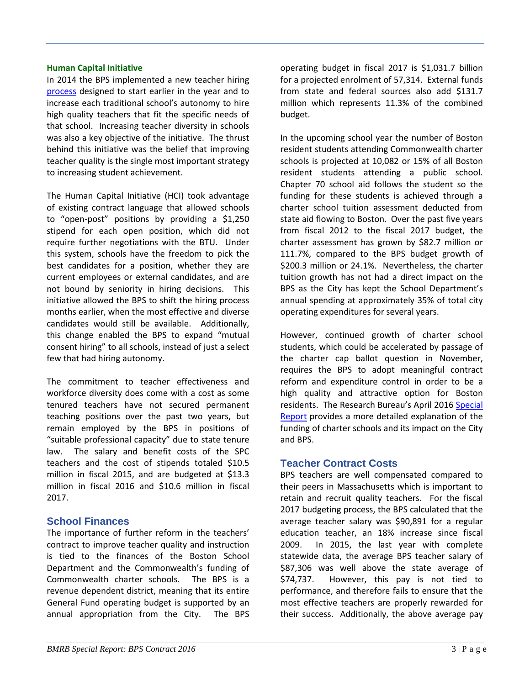#### **Human Capital Initiative**

In 2014 the BPS implemented a new teacher hiring [process](http://bmrb.org/wp-content/uploads/2014/01/SR16-1HCI.pdf) designed to start earlier in the year and to increase each traditional school's autonomy to hire high quality teachers that fit the specific needs of that school. Increasing teacher diversity in schools was also a key objective of the initiative. The thrust behind this initiative was the belief that improving teacher quality is the single most important strategy to increasing student achievement.

The Human Capital Initiative (HCI) took advantage of existing contract language that allowed schools to "open-post" positions by providing a \$1,250 stipend for each open position, which did not require further negotiations with the BTU. Under this system, schools have the freedom to pick the best candidates for a position, whether they are current employees or external candidates, and are not bound by seniority in hiring decisions. This initiative allowed the BPS to shift the hiring process months earlier, when the most effective and diverse candidates would still be available. Additionally, this change enabled the BPS to expand "mutual consent hiring" to all schools, instead of just a select few that had hiring autonomy.

The commitment to teacher effectiveness and workforce diversity does come with a cost as some tenured teachers have not secured permanent teaching positions over the past two years, but remain employed by the BPS in positions of "suitable professional capacity" due to state tenure law. The salary and benefit costs of the SPC teachers and the cost of stipends totaled \$10.5 million in fiscal 2015, and are budgeted at \$13.3 million in fiscal 2016 and \$10.6 million in fiscal 2017.

#### **School Finances**

The importance of further reform in the teachers' contract to improve teacher quality and instruction is tied to the finances of the Boston School Department and the Commonwealth's funding of Commonwealth charter schools. The BPS is a revenue dependent district, meaning that its entire General Fund operating budget is supported by an annual appropriation from the City. The BPS

operating budget in fiscal 2017 is \$1,031.7 billion for a projected enrolment of 57,314. External funds from state and federal sources also add \$131.7 million which represents 11.3% of the combined budget.

In the upcoming school year the number of Boston resident students attending Commonwealth charter schools is projected at 10,082 or 15% of all Boston resident students attending a public school. Chapter 70 school aid follows the student so the funding for these students is achieved through a charter school tuition assessment deducted from state aid flowing to Boston. Over the past five years from fiscal 2012 to the fiscal 2017 budget, the charter assessment has grown by \$82.7 million or 111.7%, compared to the BPS budget growth of \$200.3 million or 24.1%. Nevertheless, the charter tuition growth has not had a direct impact on the BPS as the City has kept the School Department's annual spending at approximately 35% of total city operating expenditures for several years.

However, continued growth of charter school students, which could be accelerated by passage of the charter cap ballot question in November, requires the BPS to adopt meaningful contract reform and expenditure control in order to be a high quality and attractive option for Boston residents. The Research Bureau's April 201[6 Special](http://bmrb.org/wp-content/uploads/2016/04/SR16-2Charter.pdf)  [Report](http://bmrb.org/wp-content/uploads/2016/04/SR16-2Charter.pdf) provides a more detailed explanation of the funding of charter schools and its impact on the City and BPS.

#### **Teacher Contract Costs**

BPS teachers are well compensated compared to their peers in Massachusetts which is important to retain and recruit quality teachers. For the fiscal 2017 budgeting process, the BPS calculated that the average teacher salary was \$90,891 for a regular education teacher, an 18% increase since fiscal 2009. In 2015, the last year with complete statewide data, the average BPS teacher salary of \$87,306 was well above the state average of \$74,737. However, this pay is not tied to performance, and therefore fails to ensure that the most effective teachers are properly rewarded for their success. Additionally, the above average pay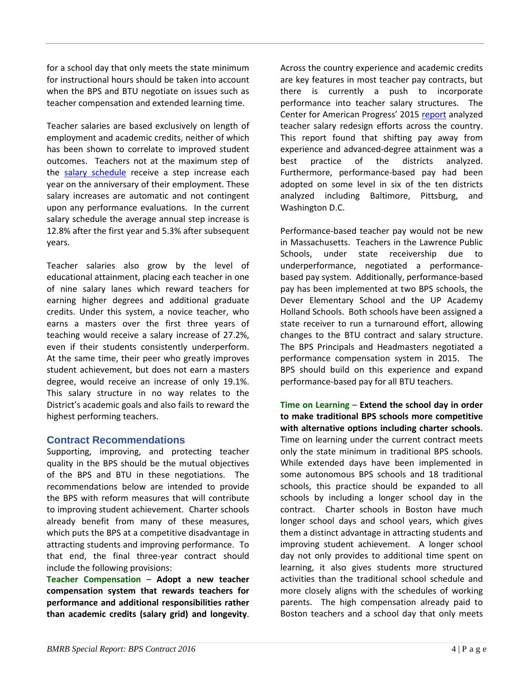for a school day that only meets the state minimum for instructional hours should be taken into account when the BPS and BTU negotiate on issues such as teacher compensation and extended learning time.

Teacher salaries are based exclusively on length of employment and academic credits, neither of which has been shown to correlate to improved student outcomes. Teachers not at the maximum step of the [salary schedule](http://bmrb.org/wp-content/uploads/2016/08/SR16-6link1.pdf) receive a step increase each year on the anniversary of their employment. These salary increases are automatic and not contingent upon any performance evaluations. In the current salary schedule the average annual step increase is 12.8% after the first year and 5.3% after subsequent years.

Teacher salaries also grow by the level of educational attainment, placing each teacher in one of nine salary lanes which reward teachers for earning higher degrees and additional graduate credits. Under this system, a novice teacher, who earns a masters over the first three years of teaching would receive a salary increase of 27.2%, even if their students consistently underperform. At the same time, their peer who greatly improves student achievement, but does not earn a masters degree, would receive an increase of only 19.1%. This salary structure in no way relates to the District's academic goals and also fails to reward the highest performing teachers.

#### **Contract Recommendations**

Supporting, improving, and protecting teacher quality in the BPS should be the mutual objectives of the BPS and BTU in these negotiations. The recommendations below are intended to provide the BPS with reform measures that will contribute to improving student achievement. Charter schools already benefit from many of these measures, which puts the BPS at a competitive disadvantage in attracting students and improving performance. To that end, the final three-year contract should include the following provisions:

**Teacher Compensation** – **Adopt a new teacher compensation system that rewards teachers for performance and additional responsibilities rather than academic credits (salary grid) and longevity**. Across the country experience and academic credits are key features in most teacher pay contracts, but there is currently a push to incorporate performance into teacher salary structures. The Center for American Progress' 2015 [report](https://cdn.americanprogress.org/wp-content/uploads/2015/02/TeacherCompensation-report217.pdf) analyzed teacher salary redesign efforts across the country. This report found that shifting pay away from experience and advanced-degree attainment was a best practice of the districts analyzed. Furthermore, performance-based pay had been adopted on some level in six of the ten districts analyzed including Baltimore, Pittsburg, and Washington D.C.

Performance-based teacher pay would not be new in Massachusetts. Teachers in the Lawrence Public Schools, under state receivership due to underperformance, negotiated a performancebased pay system. Additionally, performance-based pay has been implemented at two BPS schools, the Dever Elementary School and the UP Academy Holland Schools. Both schools have been assigned a state receiver to run a turnaround effort, allowing changes to the BTU contract and salary structure. The BPS Principals and Headmasters negotiated a performance compensation system in 2015. The BPS should build on this experience and expand performance-based pay for all BTU teachers.

**Time on Learning** – **Extend the school day in order to make traditional BPS schools more competitive with alternative options including charter schools.**  Time on learning under the current contract meets only the state minimum in traditional BPS schools. While extended days have been implemented in some autonomous BPS schools and 18 traditional schools, this practice should be expanded to all schools by including a longer school day in the contract. Charter schools in Boston have much longer school days and school years, which gives them a distinct advantage in attracting students and improving student achievement. A longer school day not only provides to additional time spent on learning, it also gives students more structured activities than the traditional school schedule and more closely aligns with the schedules of working parents. The high compensation already paid to Boston teachers and a school day that only meets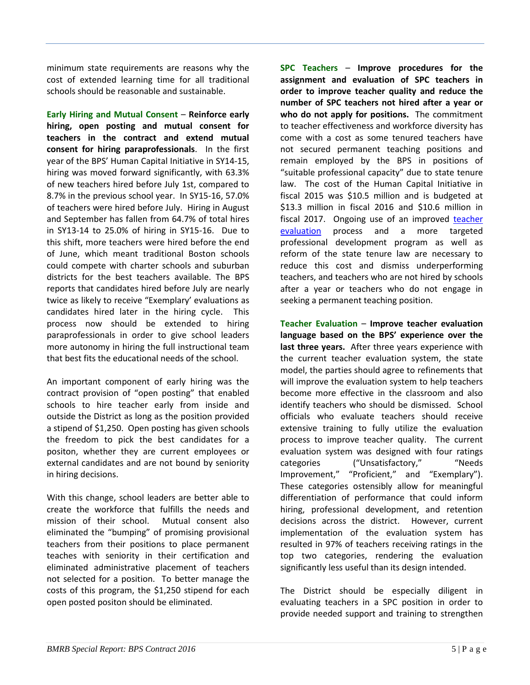minimum state requirements are reasons why the cost of extended learning time for all traditional schools should be reasonable and sustainable.

**Early Hiring and Mutual Consent** – **Reinforce early hiring, open posting and mutual consent for teachers in the contract and extend mutual consent for hiring paraprofessionals**. In the first year of the BPS' Human Capital Initiative in SY14-15, hiring was moved forward significantly, with 63.3% of new teachers hired before July 1st, compared to 8.7% in the previous school year. In SY15-16, 57.0% of teachers were hired before July. Hiring in August and September has fallen from 64.7% of total hires in SY13-14 to 25.0% of hiring in SY15-16. Due to this shift, more teachers were hired before the end of June, which meant traditional Boston schools could compete with charter schools and suburban districts for the best teachers available. The BPS reports that candidates hired before July are nearly twice as likely to receive "Exemplary' evaluations as candidates hired later in the hiring cycle. This process now should be extended to hiring paraprofessionals in order to give school leaders more autonomy in hiring the full instructional team that best fits the educational needs of the school.

An important component of early hiring was the contract provision of "open posting" that enabled schools to hire teacher early from inside and outside the District as long as the position provided a stipend of \$1,250. Open posting has given schools the freedom to pick the best candidates for a positon, whether they are current employees or external candidates and are not bound by seniority in hiring decisions.

With this change, school leaders are better able to create the workforce that fulfills the needs and mission of their school. Mutual consent also eliminated the "bumping" of promising provisional teachers from their positions to place permanent teaches with seniority in their certification and eliminated administrative placement of teachers not selected for a position. To better manage the costs of this program, the \$1,250 stipend for each open posted positon should be eliminated.

**SPC Teachers** – **Improve procedures for the assignment and evaluation of SPC teachers in order to improve teacher quality and reduce the number of SPC teachers not hired after a year or who do not apply for positions.** The commitment to teacher effectiveness and workforce diversity has come with a cost as some tenured teachers have not secured permanent teaching positions and remain employed by the BPS in positions of "suitable professional capacity" due to state tenure law. The cost of the Human Capital Initiative in fiscal 2015 was \$10.5 million and is budgeted at \$13.3 million in fiscal 2016 and \$10.6 million in fiscal 2017. Ongoing use of an improved [teacher](http://bmrb.org/wp-content/uploads/2016/03/SR16-1Link1.pdf)  [evaluation](http://bmrb.org/wp-content/uploads/2016/03/SR16-1Link1.pdf) process and a more targeted professional development program as well as reform of the state tenure law are necessary to reduce this cost and dismiss underperforming teachers, and teachers who are not hired by schools after a year or teachers who do not engage in seeking a permanent teaching position.

**Teacher Evaluation** – **Improve teacher evaluation language based on the BPS' experience over the last three years.** After three years experience with the current teacher evaluation system, the state model, the parties should agree to refinements that will improve the evaluation system to help teachers become more effective in the classroom and also identify teachers who should be dismissed. School officials who evaluate teachers should receive extensive training to fully utilize the evaluation process to improve teacher quality. The current evaluation system was designed with four ratings categories ("Unsatisfactory," Theeds Improvement," "Proficient," and "Exemplary"). These categories ostensibly allow for meaningful differentiation of performance that could inform hiring, professional development, and retention decisions across the district. However, current implementation of the evaluation system has resulted in 97% of teachers receiving ratings in the top two categories, rendering the evaluation significantly less useful than its design intended.

The District should be especially diligent in evaluating teachers in a SPC position in order to provide needed support and training to strengthen